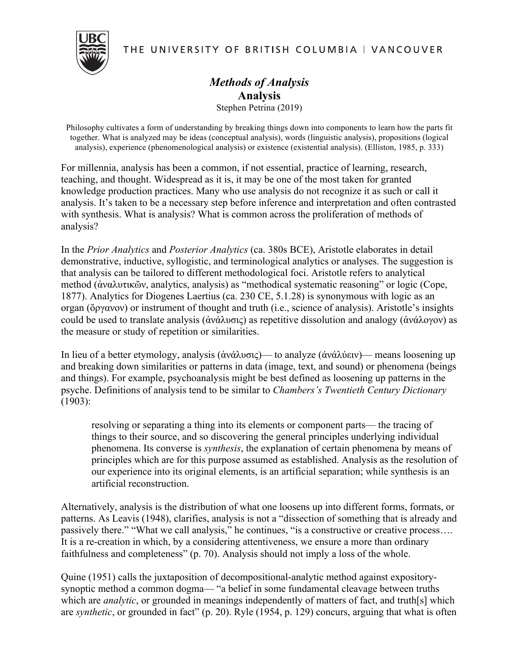THE UNIVERSITY OF BRITISH COLUMBIA | VANCOUVER



*Methods of Analysis* **Analysis** Stephen Petrina (2019)

Philosophy cultivates a form of understanding by breaking things down into components to learn how the parts fit together. What is analyzed may be ideas (conceptual analysis), words (linguistic analysis), propositions (logical analysis), experience (phenomenological analysis) or existence (existential analysis). (Elliston, 1985, p. 333)

For millennia, analysis has been a common, if not essential, practice of learning, research, teaching, and thought. Widespread as it is, it may be one of the most taken for granted knowledge production practices. Many who use analysis do not recognize it as such or call it analysis. It's taken to be a necessary step before inference and interpretation and often contrasted with synthesis. What is analysis? What is common across the proliferation of methods of analysis?

In the *Prior Analytics* and *Posterior Analytics* (ca. 380s BCE), Aristotle elaborates in detail demonstrative, inductive, syllogistic, and terminological analytics or analyses. The suggestion is that analysis can be tailored to different methodological foci. Aristotle refers to analytical method (ἀναλυτικῶν, analytics, analysis) as "methodical systematic reasoning" or logic (Cope, 1877). Analytics for Diogenes Laertius (ca. 230 CE, 5.1.28) is synonymous with logic as an organ (ὄργανον) or instrument of thought and truth (i.e., science of analysis). Aristotle's insights could be used to translate analysis (ἀνάλυσις) as repetitive dissolution and analogy (ἀνάλογον) as the measure or study of repetition or similarities.

In lieu of a better etymology, analysis (ἀνάλυσις)— to analyze (άνάλύειν)— means loosening up and breaking down similarities or patterns in data (image, text, and sound) or phenomena (beings and things). For example, psychoanalysis might be best defined as loosening up patterns in the psyche. Definitions of analysis tend to be similar to *Chambers's Twentieth Century Dictionary* (1903):

resolving or separating a thing into its elements or component parts— the tracing of things to their source, and so discovering the general principles underlying individual phenomena. Its converse is *synthesis*, the explanation of certain phenomena by means of principles which are for this purpose assumed as established. Analysis as the resolution of our experience into its original elements, is an artificial separation; while synthesis is an artificial reconstruction.

Alternatively, analysis is the distribution of what one loosens up into different forms, formats, or patterns. As Leavis (1948), clarifies, analysis is not a "dissection of something that is already and passively there." "What we call analysis," he continues, "is a constructive or creative process…. It is a re-creation in which, by a considering attentiveness, we ensure a more than ordinary faithfulness and completeness" (p. 70). Analysis should not imply a loss of the whole.

Quine (1951) calls the juxtaposition of decompositional-analytic method against expositorysynoptic method a common dogma— "a belief in some fundamental cleavage between truths which are *analytic*, or grounded in meanings independently of matters of fact, and truth[s] which are *synthetic*, or grounded in fact" (p. 20). Ryle (1954, p. 129) concurs, arguing that what is often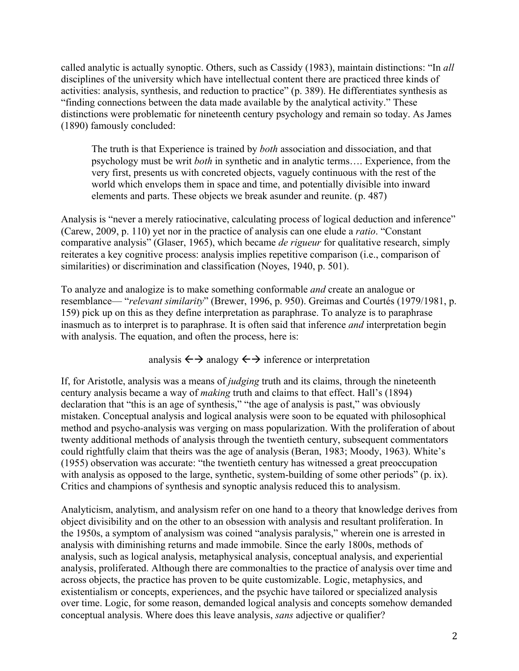called analytic is actually synoptic. Others, such as Cassidy (1983), maintain distinctions: "In *all* disciplines of the university which have intellectual content there are practiced three kinds of activities: analysis, synthesis, and reduction to practice" (p. 389). He differentiates synthesis as "finding connections between the data made available by the analytical activity." These distinctions were problematic for nineteenth century psychology and remain so today. As James (1890) famously concluded:

The truth is that Experience is trained by *both* association and dissociation, and that psychology must be writ *both* in synthetic and in analytic terms…. Experience, from the very first, presents us with concreted objects, vaguely continuous with the rest of the world which envelops them in space and time, and potentially divisible into inward elements and parts. These objects we break asunder and reunite. (p. 487)

Analysis is "never a merely ratiocinative, calculating process of logical deduction and inference" (Carew, 2009, p. 110) yet nor in the practice of analysis can one elude a *ratio*. "Constant comparative analysis" (Glaser, 1965), which became *de rigueur* for qualitative research, simply reiterates a key cognitive process: analysis implies repetitive comparison (i.e., comparison of similarities) or discrimination and classification (Noyes, 1940, p. 501).

To analyze and analogize is to make something conformable *and* create an analogue or resemblance— "*relevant similarity*" (Brewer, 1996, p. 950). Greimas and Courtés (1979/1981, p. 159) pick up on this as they define interpretation as paraphrase. To analyze is to paraphrase inasmuch as to interpret is to paraphrase. It is often said that inference *and* interpretation begin with analysis. The equation, and often the process, here is:

## analysis  $\leftrightarrow$  analogy  $\leftrightarrow$  inference or interpretation

If, for Aristotle, analysis was a means of *judging* truth and its claims, through the nineteenth century analysis became a way of *making* truth and claims to that effect. Hall's (1894) declaration that "this is an age of synthesis," "the age of analysis is past," was obviously mistaken. Conceptual analysis and logical analysis were soon to be equated with philosophical method and psycho-analysis was verging on mass popularization. With the proliferation of about twenty additional methods of analysis through the twentieth century, subsequent commentators could rightfully claim that theirs was the age of analysis (Beran, 1983; Moody, 1963). White's (1955) observation was accurate: "the twentieth century has witnessed a great preoccupation with analysis as opposed to the large, synthetic, system-building of some other periods" (p. ix). Critics and champions of synthesis and synoptic analysis reduced this to analysism.

Analyticism, analytism, and analysism refer on one hand to a theory that knowledge derives from object divisibility and on the other to an obsession with analysis and resultant proliferation. In the 1950s, a symptom of analysism was coined "analysis paralysis," wherein one is arrested in analysis with diminishing returns and made immobile. Since the early 1800s, methods of analysis, such as logical analysis, metaphysical analysis, conceptual analysis, and experiential analysis, proliferated. Although there are commonalties to the practice of analysis over time and across objects, the practice has proven to be quite customizable. Logic, metaphysics, and existentialism or concepts, experiences, and the psychic have tailored or specialized analysis over time. Logic, for some reason, demanded logical analysis and concepts somehow demanded conceptual analysis. Where does this leave analysis, *sans* adjective or qualifier?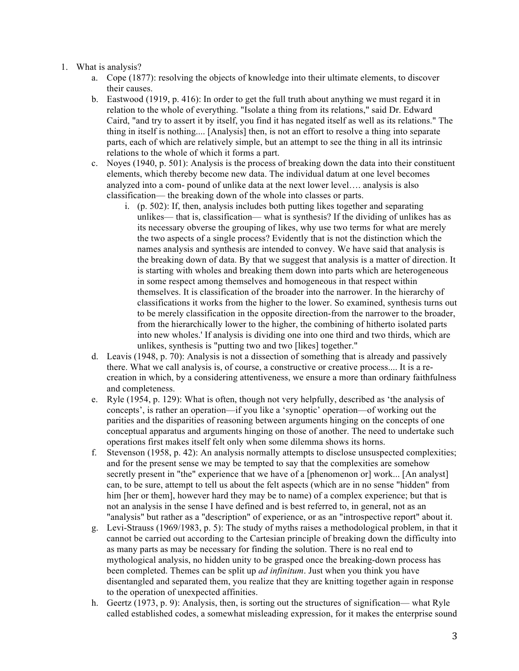## 1. What is analysis?

- a. Cope (1877): resolving the objects of knowledge into their ultimate elements, to discover their causes.
- b. Eastwood (1919, p. 416): In order to get the full truth about anything we must regard it in relation to the whole of everything. "Isolate a thing from its relations," said Dr. Edward Caird, "and try to assert it by itself, you find it has negated itself as well as its relations." The thing in itself is nothing.... [Analysis] then, is not an effort to resolve a thing into separate parts, each of which are relatively simple, but an attempt to see the thing in all its intrinsic relations to the whole of which it forms a part.
- c. Noyes (1940, p. 501): Analysis is the process of breaking down the data into their constituent elements, which thereby become new data. The individual datum at one level becomes analyzed into a com- pound of unlike data at the next lower level…. analysis is also classification— the breaking down of the whole into classes or parts.
	- i. (p. 502): If, then, analysis includes both putting likes together and separating unlikes— that is, classification— what is synthesis? If the dividing of unlikes has as its necessary obverse the grouping of likes, why use two terms for what are merely the two aspects of a single process? Evidently that is not the distinction which the names analysis and synthesis are intended to convey. We have said that analysis is the breaking down of data. By that we suggest that analysis is a matter of direction. It is starting with wholes and breaking them down into parts which are heterogeneous in some respect among themselves and homogeneous in that respect within themselves. It is classification of the broader into the narrower. In the hierarchy of classifications it works from the higher to the lower. So examined, synthesis turns out to be merely classification in the opposite direction-from the narrower to the broader, from the hierarchically lower to the higher, the combining of hitherto isolated parts into new wholes.' If analysis is dividing one into one third and two thirds, which are unlikes, synthesis is "putting two and two [likes] together."
- d. Leavis (1948, p. 70): Analysis is not a dissection of something that is already and passively there. What we call analysis is, of course, a constructive or creative process.... It is a recreation in which, by a considering attentiveness, we ensure a more than ordinary faithfulness and completeness.
- e. Ryle (1954, p. 129): What is often, though not very helpfully, described as 'the analysis of concepts', is rather an operation—if you like a 'synoptic' operation—of working out the parities and the disparities of reasoning between arguments hinging on the concepts of one conceptual apparatus and arguments hinging on those of another. The need to undertake such operations first makes itself felt only when some dilemma shows its horns.
- f. Stevenson (1958, p. 42): An analysis normally attempts to disclose unsuspected complexities; and for the present sense we may be tempted to say that the complexities are somehow secretly present in "the" experience that we have of a [phenomenon or] work... [An analyst] can, to be sure, attempt to tell us about the felt aspects (which are in no sense "hidden" from him [her or them], however hard they may be to name) of a complex experience; but that is not an analysis in the sense I have defined and is best referred to, in general, not as an "analysis" but rather as a "description" of experience, or as an "introspective report" about it.
- g. Levi-Strauss (1969/1983, p. 5): The study of myths raises a methodological problem, in that it cannot be carried out according to the Cartesian principle of breaking down the difficulty into as many parts as may be necessary for finding the solution. There is no real end to mythological analysis, no hidden unity to be grasped once the breaking-down process has been completed. Themes can be split up *ad infinitum*. Just when you think you have disentangled and separated them, you realize that they are knitting together again in response to the operation of unexpected affinities.
- h. Geertz (1973, p. 9): Analysis, then, is sorting out the structures of signification— what Ryle called established codes, a somewhat misleading expression, for it makes the enterprise sound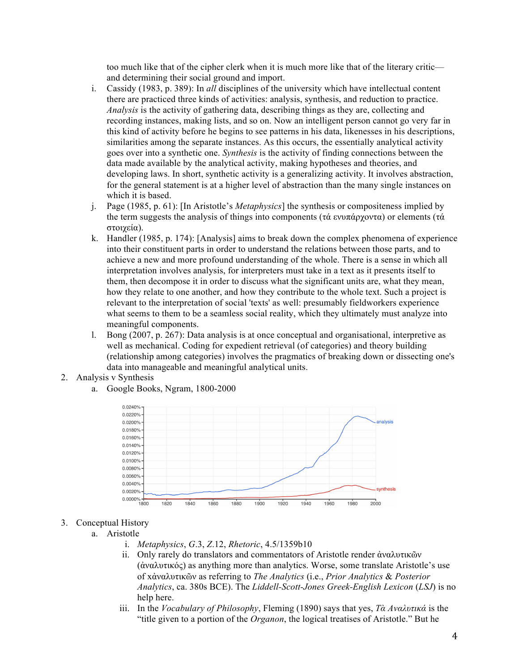too much like that of the cipher clerk when it is much more like that of the literary critic and determining their social ground and import.

- i. Cassidy (1983, p. 389): In *all* disciplines of the university which have intellectual content there are practiced three kinds of activities: analysis, synthesis, and reduction to practice. *Analysis* is the activity of gathering data, describing things as they are, collecting and recording instances, making lists, and so on. Now an intelligent person cannot go very far in this kind of activity before he begins to see patterns in his data, likenesses in his descriptions, similarities among the separate instances. As this occurs, the essentially analytical activity goes over into a synthetic one. *Synthesis* is the activity of finding connections between the data made available by the analytical activity, making hypotheses and theories, and developing laws. In short, synthetic activity is a generalizing activity. It involves abstraction, for the general statement is at a higher level of abstraction than the many single instances on which it is based.
- j. Page (1985, p. 61): [In Aristotle's *Metaphysics*] the synthesis or compositeness implied by the term suggests the analysis of things into components (τά ενυπάρχοντα) or elements (τά στοιχεία).
- k. Handler (1985, p. 174): [Analysis] aims to break down the complex phenomena of experience into their constituent parts in order to understand the relations between those parts, and to achieve a new and more profound understanding of the whole. There is a sense in which all interpretation involves analysis, for interpreters must take in a text as it presents itself to them, then decompose it in order to discuss what the significant units are, what they mean, how they relate to one another, and how they contribute to the whole text. Such a project is relevant to the interpretation of social 'texts' as well: presumably fieldworkers experience what seems to them to be a seamless social reality, which they ultimately must analyze into meaningful components.
- l. Bong (2007, p. 267): Data analysis is at once conceptual and organisational, interpretive as well as mechanical. Coding for expedient retrieval (of categories) and theory building (relationship among categories) involves the pragmatics of breaking down or dissecting one's data into manageable and meaningful analytical units.
- 2. Analysis v Synthesis
	- a. Google Books, Ngram, 1800-2000



## 3. Conceptual History

- a. Aristotle
	- i. *Metaphysics*, *G*.3, *Z*.12, *Rhetoric*, 4.5/1359b10
	- ii. Only rarely do translators and commentators of Aristotle render ἀναλυτικῶν (ἀναλυτικός) as anything more than analytics. Worse, some translate Aristotle's use of xἀναλυτικῶν as referring to *The Analytics* (i.e., *Prior Analytics* & *Posterior Analytics*, ca. 380s BCE). The *Liddell-Scott-Jones Greek-English Lexicon* (*LSJ*) is no help here.
	- iii. In the *Vocabulary of Philosophy*, Fleming (1890) says that yes, *Τὰ Αναλυτικά* is the "title given to a portion of the *Organon*, the logical treatises of Aristotle." But he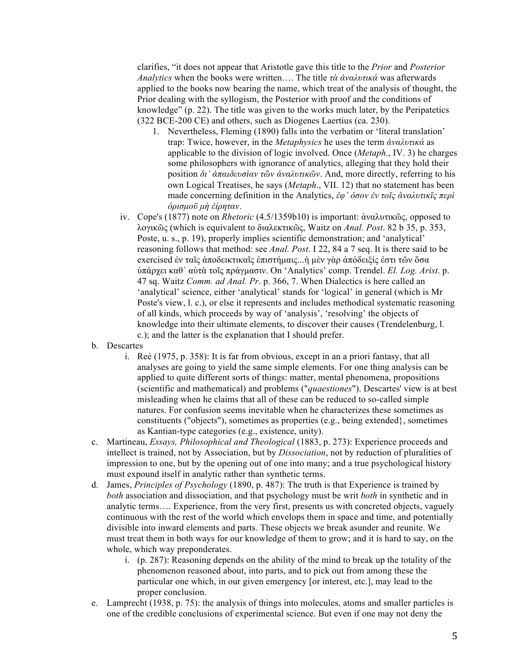clarifies, "it does not appear that Aristotle gave this title to the *Prior* and *Posterior Analytics* when the books were written…. The title *τὰ ἀναλυτικά* was afterwards applied to the books now bearing the name, which treat of the analysis of thought, the Prior dealing with the syllogism, the Posterior with proof and the conditions of knowledge" (p. 22). The title was given to the works much later, by the Peripatetics (322 BCE-200 CE) and others, such as Diogenes Laertius (ca. 230).

- 1. Nevertheless, Fleming (1890) falls into the verbatim or 'literal translation' trap: Twice, however, in the *Metaphysics* he uses the term *ἀναλυτικά* as applicable to the division of logic involved. Once (*Metaph*., IV. 3) he charges some philosophers with ignorance of analytics, alleging that they hold their position *δι᾽ ἀπαιδευσὶαν τῶν ἀναλυτικῶν*. And, more directly, referring to his own Logical Treatises, he says (*Metaph*., VII. 12) that no statement has been made concerning definition in the Analytics, *ἐφ᾽ ὁσον ἐν τοῑς ἀναλυτικῑς περὶ ὁρισµοῡ µὴ ἐίρηταν*.
- iv. Cope's (1877) note on *Rhetoric* (4.5/1359b10) is important: ἀναλυτικῶς, opposed to λογικῶς (which is equivalent to διαλεκτικῶς, Waitz on *Anal. Post*. 82 b 35, p. 353, Poste, u. s., p. 19), properly implies scientific demonstration; and 'analytical' reasoning follows that method: see *Anal. Post*. I 22, 84 a 7 seq. It is there said to be exercised ἐν ταῖς ἀποδεικτικαῖς ἐπιστήμαις...ή μὲν γὰρ ἀπόδειξίς ἐστι τῶν ὅσα ὑπάρχει καθ᾽ αὑτὰ τοῖς πράγµασιν. On 'Analytics' comp. Trendel. *El. Log. Arist*. p. 47 sq. Waitz *Comm. ad Anal. Pr*. p. 366, 7. When Dialectics is here called an 'analytical' science, either 'analytical' stands for 'logical' in general (which is Mr Poste's view, l. c.), or else it represents and includes methodical systematic reasoning of all kinds, which proceeds by way of 'analysis', 'resolving' the objects of knowledge into their ultimate elements, to discover their causes (Trendelenburg, l. c.); and the latter is the explanation that I should prefer.
- b. Descartes
	- i. Reé (1975, p. 358): It is far from obvious, except in an a priori fantasy, that all analyses are going to yield the same simple elements. For one thing analysis can be applied to quite different sorts of things: matter, mental phenomena, propositions (scientific and mathematical) and problems ("*quaestiones*"). Descartes' view is at best misleading when he claims that all of these can be reduced to so-called simple natures. For confusion seems inevitable when he characterizes these sometimes as constituents ("objects"), sometimes as properties (e.g., being extended}, sometimes as Kantian-type categories (e.g., existence, unity).
- c. Martineau, *Essays, Philosophical and Theological* (1883, p. 273): Experience proceeds and intellect is trained, not by Association, but by *Dissociation*, not by reduction of pluralities of impression to one, but by the opening out of one into many; and a true psychological history must expound itself in analytic rather than synthetic terms.
- d. James, *Principles of Psychology* (1890, p. 487): The truth is that Experience is trained by *both* association and dissociation, and that psychology must be writ *both* in synthetic and in analytic terms…. Experience, from the very first, presents us with concreted objects, vaguely continuous with the rest of the world which envelops them in space and time, and potentially divisible into inward elements and parts. These objects we break asunder and reunite. We must treat them in both ways for our knowledge of them to grow; and it is hard to say, on the whole, which way preponderates.
	- i. (p. 287): Reasoning depends on the ability of the mind to break up the totality of the phenomenon reasoned about, into parts, and to pick out from among these the particular one which, in our given emergency [or interest, etc.], may lead to the proper conclusion.
- e. Lamprecht (1938, p. 75): the analysis of things into molecules, atoms and smaller particles is one of the credible conclusions of experimental science. But even if one may not deny the